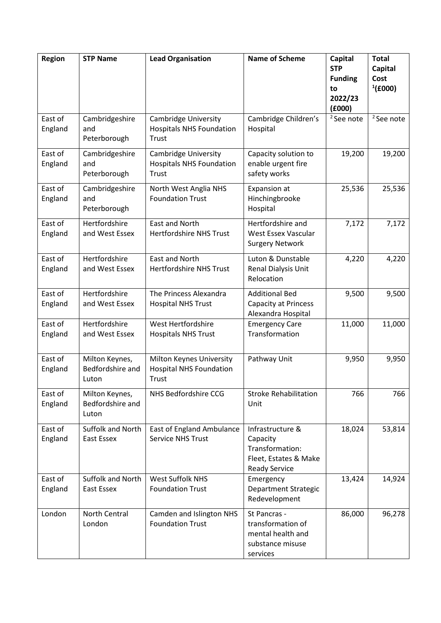| Region             | <b>STP Name</b>                             | <b>Lead Organisation</b>                                                   | <b>Name of Scheme</b>                                                                            | <b>Capital</b><br><b>STP</b><br><b>Funding</b><br>to<br>2022/23<br>(6000) | <b>Total</b><br>Capital<br>Cost<br>$^{1}(£000)$ |
|--------------------|---------------------------------------------|----------------------------------------------------------------------------|--------------------------------------------------------------------------------------------------|---------------------------------------------------------------------------|-------------------------------------------------|
| East of<br>England | Cambridgeshire<br>and<br>Peterborough       | <b>Cambridge University</b><br><b>Hospitals NHS Foundation</b><br>Trust    | Cambridge Children's<br>Hospital                                                                 | <sup>2</sup> See note                                                     | <sup>2</sup> See note                           |
| East of<br>England | Cambridgeshire<br>and<br>Peterborough       | <b>Cambridge University</b><br><b>Hospitals NHS Foundation</b><br>Trust    | Capacity solution to<br>enable urgent fire<br>safety works                                       | 19,200                                                                    | 19,200                                          |
| East of<br>England | Cambridgeshire<br>and<br>Peterborough       | North West Anglia NHS<br><b>Foundation Trust</b>                           | Expansion at<br>Hinchingbrooke<br>Hospital                                                       | 25,536                                                                    | 25,536                                          |
| East of<br>England | Hertfordshire<br>and West Essex             | East and North<br><b>Hertfordshire NHS Trust</b>                           | Hertfordshire and<br>West Essex Vascular<br><b>Surgery Network</b>                               | 7,172                                                                     | 7,172                                           |
| East of<br>England | Hertfordshire<br>and West Essex             | East and North<br><b>Hertfordshire NHS Trust</b>                           | Luton & Dunstable<br>Renal Dialysis Unit<br>Relocation                                           | 4,220                                                                     | 4,220                                           |
| East of<br>England | Hertfordshire<br>and West Essex             | The Princess Alexandra<br><b>Hospital NHS Trust</b>                        | <b>Additional Bed</b><br><b>Capacity at Princess</b><br>Alexandra Hospital                       | 9,500                                                                     | 9,500                                           |
| East of<br>England | Hertfordshire<br>and West Essex             | West Hertfordshire<br><b>Hospitals NHS Trust</b>                           | <b>Emergency Care</b><br>Transformation                                                          | 11,000                                                                    | 11,000                                          |
| East of<br>England | Milton Keynes,<br>Bedfordshire and<br>Luton | Milton Keynes University<br><b>Hospital NHS Foundation</b><br><b>Trust</b> | Pathway Unit                                                                                     | 9,950                                                                     | 9,950                                           |
| East of<br>England | Milton Keynes,<br>Bedfordshire and<br>Luton | NHS Bedfordshire CCG                                                       | <b>Stroke Rehabilitation</b><br>Unit                                                             | 766                                                                       | 766                                             |
| East of<br>England | Suffolk and North<br>East Essex             | <b>East of England Ambulance</b><br><b>Service NHS Trust</b>               | Infrastructure &<br>Capacity<br>Transformation:<br>Fleet, Estates & Make<br><b>Ready Service</b> | 18,024                                                                    | 53,814                                          |
| East of<br>England | Suffolk and North<br><b>East Essex</b>      | <b>West Suffolk NHS</b><br><b>Foundation Trust</b>                         | Emergency<br><b>Department Strategic</b><br>Redevelopment                                        | 13,424                                                                    | 14,924                                          |
| London             | North Central<br>London                     | Camden and Islington NHS<br><b>Foundation Trust</b>                        | St Pancras -<br>transformation of<br>mental health and<br>substance misuse<br>services           | 86,000                                                                    | 96,278                                          |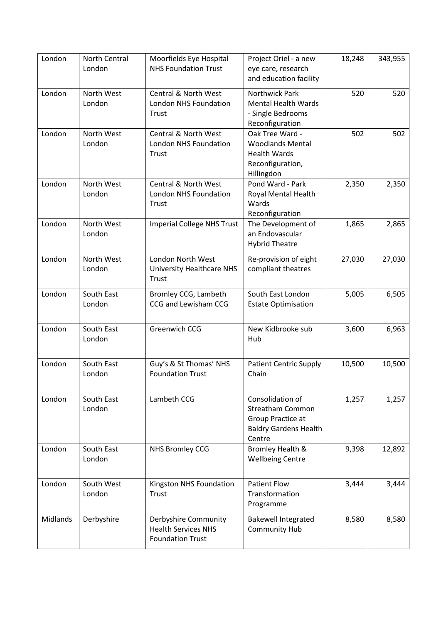| London   | North Central<br>London | Moorfields Eye Hospital<br><b>NHS Foundation Trust</b>                        | Project Oriel - a new<br>eye care, research<br>and education facility                                      | 18,248 | 343,955 |
|----------|-------------------------|-------------------------------------------------------------------------------|------------------------------------------------------------------------------------------------------------|--------|---------|
| London   | North West<br>London    | <b>Central &amp; North West</b><br><b>London NHS Foundation</b><br>Trust      | <b>Northwick Park</b><br><b>Mental Health Wards</b><br>- Single Bedrooms<br>Reconfiguration                | 520    | 520     |
| London   | North West<br>London    | <b>Central &amp; North West</b><br><b>London NHS Foundation</b><br>Trust      | Oak Tree Ward -<br><b>Woodlands Mental</b><br><b>Health Wards</b><br>Reconfiguration,<br>Hillingdon        | 502    | 502     |
| London   | North West<br>London    | <b>Central &amp; North West</b><br><b>London NHS Foundation</b><br>Trust      | Pond Ward - Park<br>Royal Mental Health<br>Wards<br>Reconfiguration                                        | 2,350  | 2,350   |
| London   | North West<br>London    | <b>Imperial College NHS Trust</b>                                             | The Development of<br>an Endovascular<br><b>Hybrid Theatre</b>                                             | 1,865  | 2,865   |
| London   | North West<br>London    | London North West<br><b>University Healthcare NHS</b><br><b>Trust</b>         | Re-provision of eight<br>compliant theatres                                                                | 27,030 | 27,030  |
| London   | South East<br>London    | Bromley CCG, Lambeth<br>CCG and Lewisham CCG                                  | South East London<br><b>Estate Optimisation</b>                                                            | 5,005  | 6,505   |
| London   | South East<br>London    | Greenwich CCG                                                                 | New Kidbrooke sub<br>Hub                                                                                   | 3,600  | 6,963   |
| London   | South East<br>London    | Guy's & St Thomas' NHS<br><b>Foundation Trust</b>                             | <b>Patient Centric Supply</b><br>Chain                                                                     | 10,500 | 10,500  |
| London   | South East<br>London    | Lambeth CCG                                                                   | Consolidation of<br><b>Streatham Common</b><br>Group Practice at<br><b>Baldry Gardens Health</b><br>Centre | 1,257  | 1,257   |
| London   | South East<br>London    | NHS Bromley CCG                                                               | <b>Bromley Health &amp;</b><br><b>Wellbeing Centre</b>                                                     | 9,398  | 12,892  |
| London   | South West<br>London    | Kingston NHS Foundation<br>Trust                                              | <b>Patient Flow</b><br>Transformation<br>Programme                                                         | 3,444  | 3,444   |
| Midlands | Derbyshire              | Derbyshire Community<br><b>Health Services NHS</b><br><b>Foundation Trust</b> | <b>Bakewell Integrated</b><br><b>Community Hub</b>                                                         | 8,580  | 8,580   |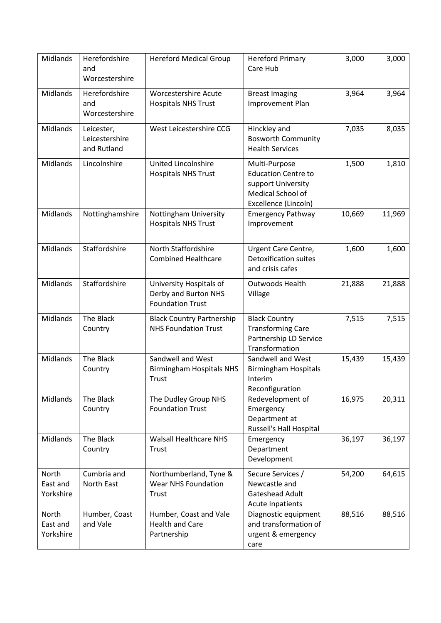| Midlands                       | Herefordshire<br>and<br>Worcestershire      | <b>Hereford Medical Group</b>                                              | <b>Hereford Primary</b><br>Care Hub                                                                            | 3,000  | 3,000  |
|--------------------------------|---------------------------------------------|----------------------------------------------------------------------------|----------------------------------------------------------------------------------------------------------------|--------|--------|
| Midlands                       | Herefordshire<br>and<br>Worcestershire      | <b>Worcestershire Acute</b><br><b>Hospitals NHS Trust</b>                  | <b>Breast Imaging</b><br>Improvement Plan                                                                      | 3,964  | 3,964  |
| Midlands                       | Leicester,<br>Leicestershire<br>and Rutland | West Leicestershire CCG                                                    | Hinckley and<br><b>Bosworth Community</b><br><b>Health Services</b>                                            | 7,035  | 8,035  |
| Midlands                       | Lincolnshire                                | United Lincolnshire<br><b>Hospitals NHS Trust</b>                          | Multi-Purpose<br><b>Education Centre to</b><br>support University<br>Medical School of<br>Excellence (Lincoln) | 1,500  | 1,810  |
| Midlands                       | Nottinghamshire                             | Nottingham University<br><b>Hospitals NHS Trust</b>                        | <b>Emergency Pathway</b><br>Improvement                                                                        | 10,669 | 11,969 |
| Midlands                       | Staffordshire                               | North Staffordshire<br><b>Combined Healthcare</b>                          | Urgent Care Centre,<br><b>Detoxification suites</b><br>and crisis cafes                                        | 1,600  | 1,600  |
| Midlands                       | Staffordshire                               | University Hospitals of<br>Derby and Burton NHS<br><b>Foundation Trust</b> | <b>Outwoods Health</b><br>Village                                                                              | 21,888 | 21,888 |
| Midlands                       | The Black<br>Country                        | <b>Black Country Partnership</b><br><b>NHS Foundation Trust</b>            | <b>Black Country</b><br><b>Transforming Care</b><br>Partnership LD Service<br>Transformation                   | 7,515  | 7,515  |
| <b>Midlands</b>                | The Black<br>Country                        | Sandwell and West<br><b>Birmingham Hospitals NHS</b><br>Trust              | Sandwell and West<br><b>Birmingham Hospitals</b><br>Interim<br>Reconfiguration                                 | 15,439 | 15,439 |
| Midlands                       | The Black<br>Country                        | The Dudley Group NHS<br><b>Foundation Trust</b>                            | Redevelopment of<br>Emergency<br>Department at<br>Russell's Hall Hospital                                      | 16,975 | 20,311 |
| Midlands                       | The Black<br>Country                        | <b>Walsall Healthcare NHS</b><br>Trust                                     | Emergency<br>Department<br>Development                                                                         | 36,197 | 36,197 |
| North<br>East and<br>Yorkshire | Cumbria and<br>North East                   | Northumberland, Tyne &<br><b>Wear NHS Foundation</b><br>Trust              | Secure Services /<br>Newcastle and<br>Gateshead Adult<br><b>Acute Inpatients</b>                               | 54,200 | 64,615 |
| North<br>East and<br>Yorkshire | Humber, Coast<br>and Vale                   | Humber, Coast and Vale<br><b>Health and Care</b><br>Partnership            | Diagnostic equipment<br>and transformation of<br>urgent & emergency<br>care                                    | 88,516 | 88,516 |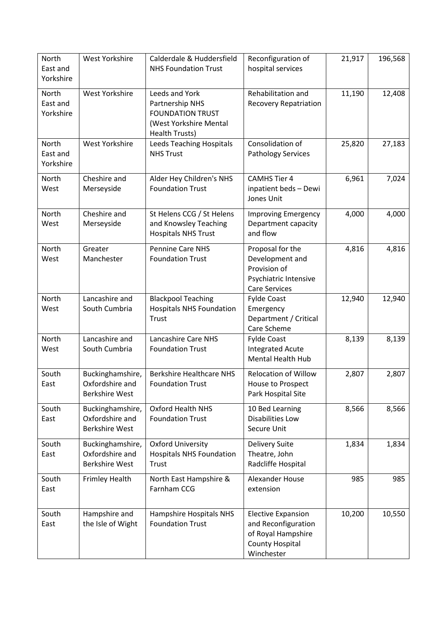| <b>North</b><br>East and<br>Yorkshire | West Yorkshire                                               | Calderdale & Huddersfield<br><b>NHS Foundation Trust</b>                                                 | Reconfiguration of<br>hospital services                                                                        | 21,917 | 196,568 |
|---------------------------------------|--------------------------------------------------------------|----------------------------------------------------------------------------------------------------------|----------------------------------------------------------------------------------------------------------------|--------|---------|
| North<br>East and<br>Yorkshire        | West Yorkshire                                               | Leeds and York<br>Partnership NHS<br><b>FOUNDATION TRUST</b><br>(West Yorkshire Mental<br>Health Trusts) | Rehabilitation and<br><b>Recovery Repatriation</b>                                                             | 11,190 | 12,408  |
| <b>North</b><br>East and<br>Yorkshire | West Yorkshire                                               | <b>Leeds Teaching Hospitals</b><br><b>NHS Trust</b>                                                      | Consolidation of<br><b>Pathology Services</b>                                                                  | 25,820 | 27,183  |
| North<br>West                         | Cheshire and<br>Merseyside                                   | Alder Hey Children's NHS<br><b>Foundation Trust</b>                                                      | <b>CAMHS Tier 4</b><br>inpatient beds - Dewi<br>Jones Unit                                                     | 6,961  | 7,024   |
| North<br>West                         | Cheshire and<br>Merseyside                                   | St Helens CCG / St Helens<br>and Knowsley Teaching<br><b>Hospitals NHS Trust</b>                         | <b>Improving Emergency</b><br>Department capacity<br>and flow                                                  | 4,000  | 4,000   |
| North<br>West                         | Greater<br>Manchester                                        | Pennine Care NHS<br><b>Foundation Trust</b>                                                              | Proposal for the<br>Development and<br>Provision of<br>Psychiatric Intensive<br><b>Care Services</b>           | 4,816  | 4,816   |
| North<br>West                         | Lancashire and<br>South Cumbria                              | <b>Blackpool Teaching</b><br><b>Hospitals NHS Foundation</b><br><b>Trust</b>                             | <b>Fylde Coast</b><br>Emergency<br>Department / Critical<br>Care Scheme                                        | 12,940 | 12,940  |
| North<br>West                         | Lancashire and<br>South Cumbria                              | Lancashire Care NHS<br><b>Foundation Trust</b>                                                           | <b>Fylde Coast</b><br><b>Integrated Acute</b><br><b>Mental Health Hub</b>                                      | 8,139  | 8,139   |
| South<br>East                         | Buckinghamshire,<br>Oxfordshire and<br><b>Berkshire West</b> | <b>Berkshire Healthcare NHS</b><br><b>Foundation Trust</b>                                               | <b>Relocation of Willow</b><br>House to Prospect<br>Park Hospital Site                                         | 2,807  | 2,807   |
| South<br>East                         | Buckinghamshire,<br>Oxfordshire and<br><b>Berkshire West</b> | Oxford Health NHS<br><b>Foundation Trust</b>                                                             | 10 Bed Learning<br><b>Disabilities Low</b><br>Secure Unit                                                      | 8,566  | 8,566   |
| South<br>East                         | Buckinghamshire,<br>Oxfordshire and<br><b>Berkshire West</b> | <b>Oxford University</b><br><b>Hospitals NHS Foundation</b><br><b>Trust</b>                              | Delivery Suite<br>Theatre, John<br>Radcliffe Hospital                                                          | 1,834  | 1,834   |
| South<br>East                         | <b>Frimley Health</b>                                        | North East Hampshire &<br>Farnham CCG                                                                    | Alexander House<br>extension                                                                                   | 985    | 985     |
| South<br>East                         | Hampshire and<br>the Isle of Wight                           | Hampshire Hospitals NHS<br><b>Foundation Trust</b>                                                       | <b>Elective Expansion</b><br>and Reconfiguration<br>of Royal Hampshire<br><b>County Hospital</b><br>Winchester | 10,200 | 10,550  |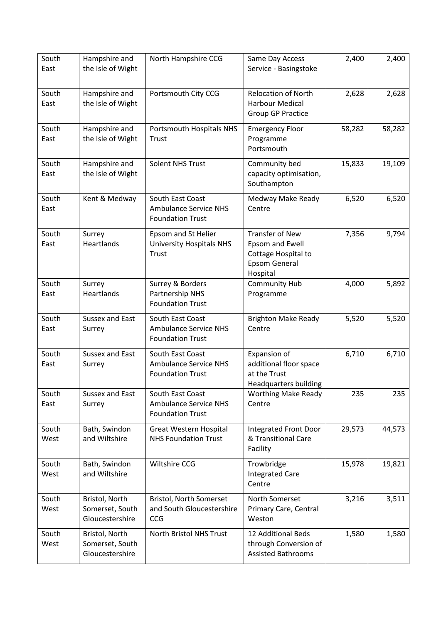| South<br>East | Hampshire and<br>the Isle of Wight                   | North Hampshire CCG                                                         | Same Day Access<br>Service - Basingstoke                                                             | 2,400  | 2,400  |
|---------------|------------------------------------------------------|-----------------------------------------------------------------------------|------------------------------------------------------------------------------------------------------|--------|--------|
| South<br>East | Hampshire and<br>the Isle of Wight                   | Portsmouth City CCG                                                         | <b>Relocation of North</b><br><b>Harbour Medical</b><br><b>Group GP Practice</b>                     | 2,628  | 2,628  |
| South<br>East | Hampshire and<br>the Isle of Wight                   | Portsmouth Hospitals NHS<br>Trust                                           | <b>Emergency Floor</b><br>Programme<br>Portsmouth                                                    | 58,282 | 58,282 |
| South<br>East | Hampshire and<br>the Isle of Wight                   | Solent NHS Trust                                                            | Community bed<br>capacity optimisation,<br>Southampton                                               | 15,833 | 19,109 |
| South<br>East | Kent & Medway                                        | South East Coast<br><b>Ambulance Service NHS</b><br><b>Foundation Trust</b> | Medway Make Ready<br>Centre                                                                          | 6,520  | 6,520  |
| South<br>East | Surrey<br>Heartlands                                 | Epsom and St Helier<br><b>University Hospitals NHS</b><br>Trust             | <b>Transfer of New</b><br>Epsom and Ewell<br>Cottage Hospital to<br><b>Epsom General</b><br>Hospital | 7,356  | 9,794  |
| South<br>East | Surrey<br>Heartlands                                 | Surrey & Borders<br>Partnership NHS<br><b>Foundation Trust</b>              | <b>Community Hub</b><br>Programme                                                                    | 4,000  | 5,892  |
| South<br>East | <b>Sussex and East</b><br>Surrey                     | South East Coast<br><b>Ambulance Service NHS</b><br><b>Foundation Trust</b> | <b>Brighton Make Ready</b><br>Centre                                                                 | 5,520  | 5,520  |
| South<br>East | <b>Sussex and East</b><br>Surrey                     | South East Coast<br><b>Ambulance Service NHS</b><br><b>Foundation Trust</b> | Expansion of<br>additional floor space<br>at the Trust<br>Headquarters building                      | 6,710  | 6,710  |
| South<br>East | Sussex and East<br>Surrey                            | South East Coast<br><b>Ambulance Service NHS</b><br><b>Foundation Trust</b> | <b>Worthing Make Ready</b><br>Centre                                                                 | 235    | 235    |
| South<br>West | Bath, Swindon<br>and Wiltshire                       | Great Western Hospital<br><b>NHS Foundation Trust</b>                       | Integrated Front Door<br>& Transitional Care<br>Facility                                             | 29,573 | 44,573 |
| South<br>West | Bath, Swindon<br>and Wiltshire                       | Wiltshire CCG                                                               | Trowbridge<br><b>Integrated Care</b><br>Centre                                                       | 15,978 | 19,821 |
| South<br>West | Bristol, North<br>Somerset, South<br>Gloucestershire | Bristol, North Somerset<br>and South Gloucestershire<br>CCG                 | North Somerset<br>Primary Care, Central<br>Weston                                                    | 3,216  | 3,511  |
| South<br>West | Bristol, North<br>Somerset, South<br>Gloucestershire | North Bristol NHS Trust                                                     | 12 Additional Beds<br>through Conversion of<br><b>Assisted Bathrooms</b>                             | 1,580  | 1,580  |